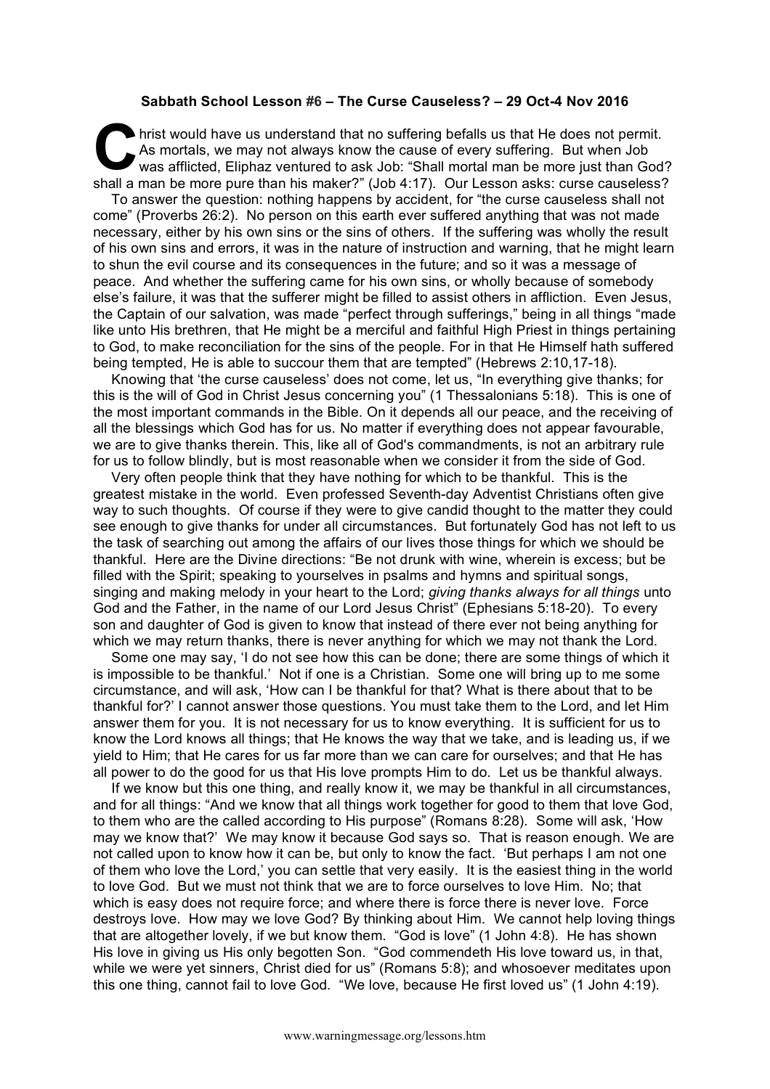## **Sabbath School Lesson #6 – The Curse Causeless? – 29 Oct-4 Nov 2016**

hrist would have us understand that no suffering befalls us that He does not permit. As mortals, we may not always know the cause of every suffering. But when Job was afflicted, Eliphaz ventured to ask Job: "Shall mortal man be more just than God? shall a man be more pure than his maker?" (Job 4:17). Our Lesson asks: curse causeless? C As<br>
Was<br>
obell a me

To answer the question: nothing happens by accident, for "the curse causeless shall not come" (Proverbs 26:2). No person on this earth ever suffered anything that was not made necessary, either by his own sins or the sins of others. If the suffering was wholly the result of his own sins and errors, it was in the nature of instruction and warning, that he might learn to shun the evil course and its consequences in the future; and so it was a message of peace. And whether the suffering came for his own sins, or wholly because of somebody else's failure, it was that the sufferer might be filled to assist others in affliction. Even Jesus, the Captain of our salvation, was made "perfect through sufferings," being in all things "made like unto His brethren, that He might be a merciful and faithful High Priest in things pertaining to God, to make reconciliation for the sins of the people. For in that He Himself hath suffered being tempted, He is able to succour them that are tempted" (Hebrews 2:10,17-18).

Knowing that 'the curse causeless' does not come, let us, "In everything give thanks; for this is the will of God in Christ Jesus concerning you" (1 Thessalonians 5:18). This is one of the most important commands in the Bible. On it depends all our peace, and the receiving of all the blessings which God has for us. No matter if everything does not appear favourable, we are to give thanks therein. This, like all of God's commandments, is not an arbitrary rule for us to follow blindly, but is most reasonable when we consider it from the side of God.

Very often people think that they have nothing for which to be thankful. This is the greatest mistake in the world. Even professed Seventh-day Adventist Christians often give way to such thoughts. Of course if they were to give candid thought to the matter they could see enough to give thanks for under all circumstances. But fortunately God has not left to us the task of searching out among the affairs of our lives those things for which we should be thankful. Here are the Divine directions: "Be not drunk with wine, wherein is excess; but be filled with the Spirit; speaking to yourselves in psalms and hymns and spiritual songs, singing and making melody in your heart to the Lord; *giving thanks always for all things* unto God and the Father, in the name of our Lord Jesus Christ" (Ephesians 5:18-20). To every son and daughter of God is given to know that instead of there ever not being anything for which we may return thanks, there is never anything for which we may not thank the Lord.

Some one may say, 'I do not see how this can be done; there are some things of which it is impossible to be thankful.' Not if one is a Christian. Some one will bring up to me some circumstance, and will ask, 'How can I be thankful for that? What is there about that to be thankful for?' I cannot answer those questions. You must take them to the Lord, and let Him answer them for you. It is not necessary for us to know everything. It is sufficient for us to know the Lord knows all things; that He knows the way that we take, and is leading us, if we yield to Him; that He cares for us far more than we can care for ourselves; and that He has all power to do the good for us that His love prompts Him to do. Let us be thankful always.

If we know but this one thing, and really know it, we may be thankful in all circumstances, and for all things: "And we know that all things work together for good to them that love God, to them who are the called according to His purpose" (Romans 8:28). Some will ask, 'How may we know that?' We may know it because God says so. That is reason enough. We are not called upon to know how it can be, but only to know the fact. 'But perhaps I am not one of them who love the Lord,' you can settle that very easily. It is the easiest thing in the world to love God. But we must not think that we are to force ourselves to love Him. No; that which is easy does not require force; and where there is force there is never love. Force destroys love. How may we love God? By thinking about Him. We cannot help loving things that are altogether lovely, if we but know them. "God is love" (1 John 4:8). He has shown His love in giving us His only begotten Son. "God commendeth His love toward us, in that, while we were yet sinners, Christ died for us" (Romans 5:8); and whosoever meditates upon this one thing, cannot fail to love God. "We love, because He first loved us" (1 John 4:19).